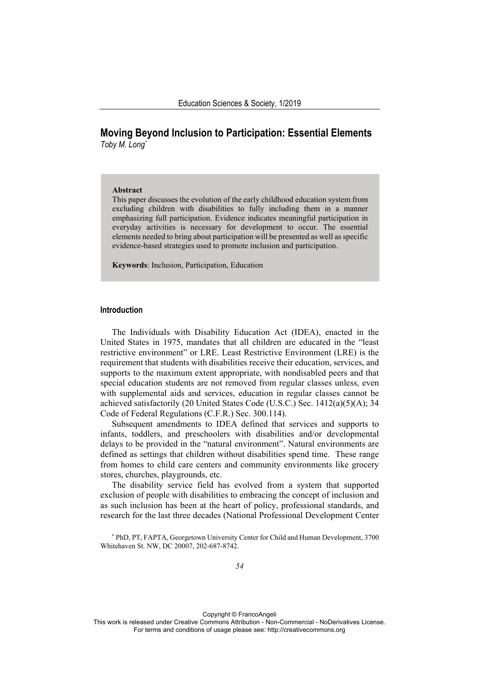# **Moving Beyond Inclusion to Participation: Essential Elements**  *Toby M. Long\**

# **Abstract**

This paper discusses the evolution of the early childhood education system from excluding children with disabilities to fully including them in a manner emphasizing full participation. Evidence indicates meaningful participation in everyday activities is necessary for development to occur. The essential elements needed to bring about participation will be presented as well as specific evidence-based strategies used to promote inclusion and participation.

**Keywords**: Inclusion, Participation, Education

#### **Introduction**

The Individuals with Disability Education Act (IDEA), enacted in the United States in 1975, mandates that all children are educated in the "least restrictive environment" or LRE. Least Restrictive Environment (LRE) is the requirement that students with disabilities receive their education, services, and supports to the maximum extent appropriate, with nondisabled peers and that special education students are not removed from regular classes unless, even with supplemental aids and services, education in regular classes cannot be achieved satisfactorily (20 United States Code (U.S.C.) Sec. 1412(a)(5)(A); 34 Code of Federal Regulations (C.F.R.) Sec. 300.114).

Subsequent amendments to IDEA defined that services and supports to infants, toddlers, and preschoolers with disabilities and/or developmental delays to be provided in the "natural environment". Natural environments are defined as settings that children without disabilities spend time. These range from homes to child care centers and community environments like grocery stores, churches, playgrounds, etc.

The disability service field has evolved from a system that supported exclusion of people with disabilities to embracing the concept of inclusion and as such inclusion has been at the heart of policy, professional standards, and research for the last three decades (National Professional Development Center

\* PhD, PT, FAPTA, Georgetown University Center for Child and Human Development, 3700 Whitehaven St. NW, DC 20007, 202-687-8742.

Copyright © FrancoAngeli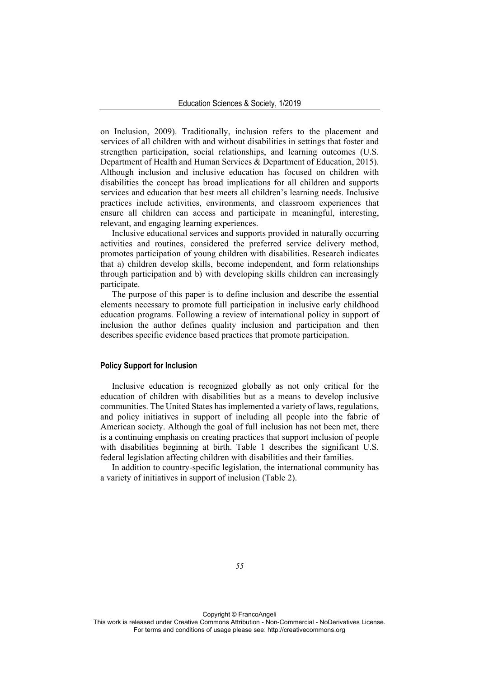on Inclusion, 2009). Traditionally, inclusion refers to the placement and services of all children with and without disabilities in settings that foster and strengthen participation, social relationships, and learning outcomes (U.S. Department of Health and Human Services & Department of Education, 2015). Although inclusion and inclusive education has focused on children with disabilities the concept has broad implications for all children and supports services and education that best meets all children's learning needs. Inclusive practices include activities, environments, and classroom experiences that ensure all children can access and participate in meaningful, interesting, relevant, and engaging learning experiences.

Inclusive educational services and supports provided in naturally occurring activities and routines, considered the preferred service delivery method, promotes participation of young children with disabilities. Research indicates that a) children develop skills, become independent, and form relationships through participation and b) with developing skills children can increasingly participate.

The purpose of this paper is to define inclusion and describe the essential elements necessary to promote full participation in inclusive early childhood education programs. Following a review of international policy in support of inclusion the author defines quality inclusion and participation and then describes specific evidence based practices that promote participation.

# **Policy Support for Inclusion**

Inclusive education is recognized globally as not only critical for the education of children with disabilities but as a means to develop inclusive communities. The United States has implemented a variety of laws, regulations, and policy initiatives in support of including all people into the fabric of American society. Although the goal of full inclusion has not been met, there is a continuing emphasis on creating practices that support inclusion of people with disabilities beginning at birth. Table 1 describes the significant U.S. federal legislation affecting children with disabilities and their families.

In addition to country-specific legislation, the international community has a variety of initiatives in support of inclusion (Table 2).

*55*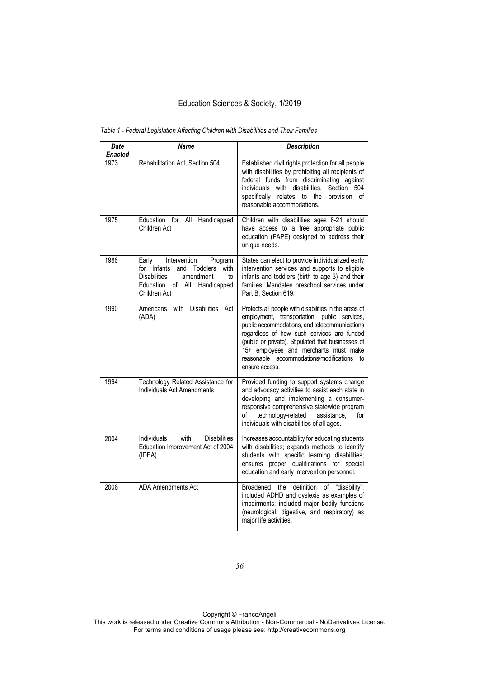| Date<br><b>Enacted</b> | <b>Name</b>                                                                                                                                                                 | <b>Description</b>                                                                                                                                                                                                                                                                                                                                                     |
|------------------------|-----------------------------------------------------------------------------------------------------------------------------------------------------------------------------|------------------------------------------------------------------------------------------------------------------------------------------------------------------------------------------------------------------------------------------------------------------------------------------------------------------------------------------------------------------------|
| 1973                   | Rehabilitation Act, Section 504                                                                                                                                             | Established civil rights protection for all people<br>with disabilities by prohibiting all recipients of<br>federal funds from discriminating against<br>individuals with disabilities.<br>Section<br>504<br>specifically relates to the<br>provision of<br>reasonable accommodations.                                                                                 |
| 1975                   | Education for<br>All<br>Handicapped<br>Children Act                                                                                                                         | Children with disabilities ages 6-21 should<br>have access to a free appropriate public<br>education (FAPE) designed to address their<br>unique needs.                                                                                                                                                                                                                 |
| 1986                   | Intervention<br>Program<br>Early<br>for Infants<br>and<br><b>Toddlers</b><br>with<br><b>Disabilities</b><br>amendment<br>to<br>Education of All Handicapped<br>Children Act | States can elect to provide individualized early<br>intervention services and supports to eligible<br>infants and toddlers (birth to age 3) and their<br>families. Mandates preschool services under<br>Part B, Section 619.                                                                                                                                           |
| 1990                   | <b>Disabilities</b><br>Americans<br>with<br>Act<br>(ADA)                                                                                                                    | Protects all people with disabilities in the areas of<br>employment, transportation, public services,<br>public accommodations, and telecommunications<br>regardless of how such services are funded<br>(public or private). Stipulated that businesses of<br>15+ employees and merchants must make<br>reasonable accommodations/modifications<br>to<br>ensure access. |
| 1994                   | Technology Related Assistance for<br>Individuals Act Amendments                                                                                                             | Provided funding to support systems change<br>and advocacy activities to assist each state in<br>developing and implementing a consumer-<br>responsive comprehensive statewide program<br>technology-related<br>of<br>assistance.<br>for<br>individuals with disabilities of all ages.                                                                                 |
| 2004                   | <b>Individuals</b><br>with<br><b>Disabilities</b><br>Education Improvement Act of 2004<br>(IDEA)                                                                            | Increases accountability for educating students<br>with disabilities; expands methods to identify<br>students with specific learning disabilities;<br>proper qualifications for special<br>ensures<br>education and early intervention personnel.                                                                                                                      |
| 2008                   | <b>ADA</b> Amendments Act                                                                                                                                                   | <b>Broadened</b><br>the<br>definition<br>"disability";<br>οf<br>included ADHD and dyslexia as examples of<br>impairments; included major bodily functions<br>(neurological, digestive, and respiratory) as<br>major life activities.                                                                                                                                   |

*Table 1* - *Federal Legislation Affecting Children with Disabilities and Their Families*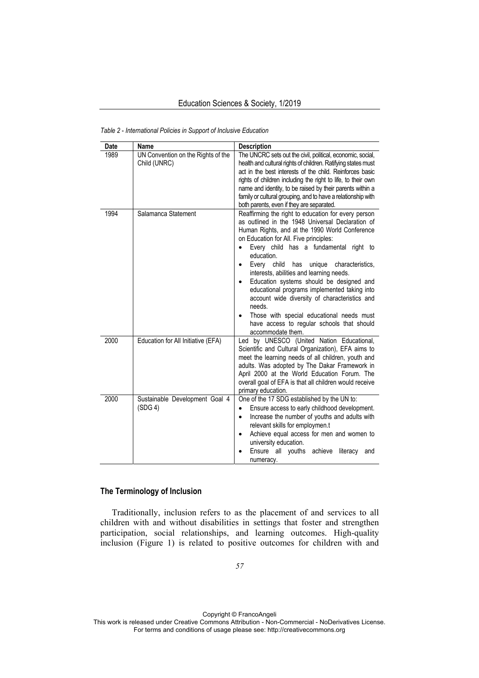| <b>Date</b> | Name                                               | <b>Description</b>                                                                                                                                                                                                                                                                                                                                                                                                                                                                                                                                                                                                                                           |
|-------------|----------------------------------------------------|--------------------------------------------------------------------------------------------------------------------------------------------------------------------------------------------------------------------------------------------------------------------------------------------------------------------------------------------------------------------------------------------------------------------------------------------------------------------------------------------------------------------------------------------------------------------------------------------------------------------------------------------------------------|
| 1989        | UN Convention on the Rights of the<br>Child (UNRC) | The UNCRC sets out the civil, political, economic, social,<br>health and cultural rights of children. Ratifying states must<br>act in the best interests of the child. Reinforces basic<br>rights of children including the right to life, to their own<br>name and identity, to be raised by their parents within a<br>family or cultural grouping, and to have a relationship with<br>both parents, even if they are separated.                                                                                                                                                                                                                            |
| 1994        | Salamanca Statement                                | Reaffirming the right to education for every person<br>as outlined in the 1948 Universal Declaration of<br>Human Rights, and at the 1990 World Conference<br>on Education for All. Five principles:<br>Every child has a fundamental right to<br>education.<br>Every child<br>unique<br>characteristics.<br>has<br>$\bullet$<br>interests, abilities and learning needs.<br>Education systems should be designed and<br>$\bullet$<br>educational programs implemented taking into<br>account wide diversity of characteristics and<br>needs.<br>Those with special educational needs must<br>have access to regular schools that should<br>accommodate them. |
| 2000        | Education for All Initiative (EFA)                 | Led by UNESCO (United Nation Educational,<br>Scientific and Cultural Organization), EFA aims to<br>meet the learning needs of all children, youth and<br>adults. Was adopted by The Dakar Framework in<br>April 2000 at the World Education Forum. The<br>overall goal of EFA is that all children would receive<br>primary education.                                                                                                                                                                                                                                                                                                                       |
| 2000        | Sustainable Development Goal 4<br>(SDG 4)          | One of the 17 SDG established by the UN to:<br>Ensure access to early childhood development.<br>$\bullet$<br>Increase the number of youths and adults with<br>$\bullet$<br>relevant skills for employmen.t<br>Achieve equal access for men and women to<br>$\bullet$<br>university education.<br>Ensure all youths achieve<br>literacy<br>and<br>numeracy.                                                                                                                                                                                                                                                                                                   |

*Table 2* - *International Policies in Support of Inclusive Education* 

# **The Terminology of Inclusion**

Traditionally, inclusion refers to as the placement of and services to all children with and without disabilities in settings that foster and strengthen participation, social relationships, and learning outcomes. High-quality inclusion (Figure 1) is related to positive outcomes for children with and

Copyright © FrancoAngeli This work is released under Creative Commons Attribution - Non-Commercial - NoDerivatives License. For terms and conditions of usage please see: http://creativecommons.org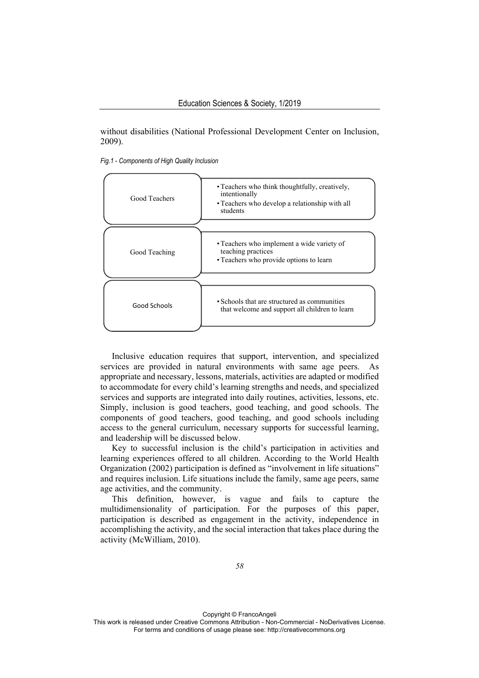without disabilities (National Professional Development Center on Inclusion, 2009).

*Fig.1* - *Components of High Quality Inclusion* 



Inclusive education requires that support, intervention, and specialized services are provided in natural environments with same age peers. As appropriate and necessary, lessons, materials, activities are adapted or modified to accommodate for every child's learning strengths and needs, and specialized services and supports are integrated into daily routines, activities, lessons, etc. Simply, inclusion is good teachers, good teaching, and good schools. The components of good teachers, good teaching, and good schools including access to the general curriculum, necessary supports for successful learning, and leadership will be discussed below.

Key to successful inclusion is the child's participation in activities and learning experiences offered to all children. According to the World Health Organization (2002) participation is defined as "involvement in life situations" and requires inclusion. Life situations include the family, same age peers, same age activities, and the community.

This definition, however, is vague and fails to capture the multidimensionality of participation. For the purposes of this paper, participation is described as engagement in the activity, independence in accomplishing the activity, and the social interaction that takes place during the activity (McWilliam, 2010).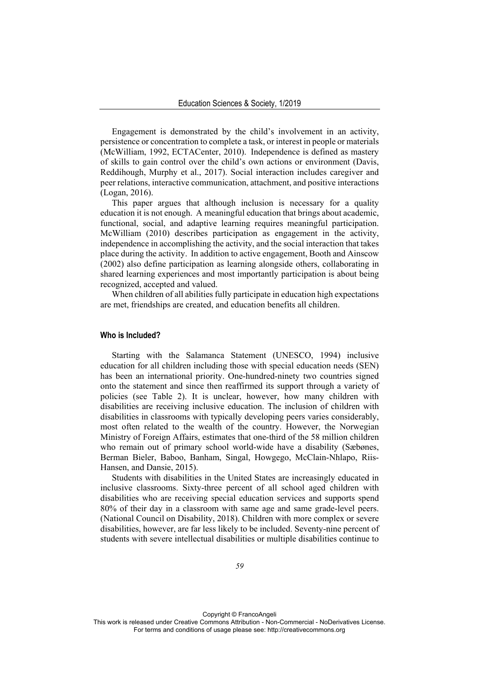Engagement is demonstrated by the child's involvement in an activity, persistence or concentration to complete a task, or interest in people or materials (McWilliam, 1992, ECTACenter, 2010). Independence is defined as mastery of skills to gain control over the child's own actions or environment (Davis, Reddihough, Murphy et al., 2017). Social interaction includes caregiver and peer relations, interactive communication, attachment, and positive interactions (Logan, 2016).

This paper argues that although inclusion is necessary for a quality education it is not enough. A meaningful education that brings about academic, functional, social, and adaptive learning requires meaningful participation. McWilliam (2010) describes participation as engagement in the activity, independence in accomplishing the activity, and the social interaction that takes place during the activity. In addition to active engagement, Booth and Ainscow (2002) also define participation as learning alongside others, collaborating in shared learning experiences and most importantly participation is about being recognized, accepted and valued.

When children of all abilities fully participate in education high expectations are met, friendships are created, and education benefits all children.

#### **Who is Included?**

Starting with the Salamanca Statement (UNESCO, 1994) inclusive education for all children including those with special education needs (SEN) has been an international priority. One-hundred-ninety two countries signed onto the statement and since then reaffirmed its support through a variety of policies (see Table 2). It is unclear, however, how many children with disabilities are receiving inclusive education. The inclusion of children with disabilities in classrooms with typically developing peers varies considerably, most often related to the wealth of the country. However, the Norwegian Ministry of Foreign Affairs, estimates that one-third of the 58 million children who remain out of primary school world-wide have a disability (Sæbønes, Berman Bieler, Baboo, Banham, Singal, Howgego, McClain-Nhlapo, Riis-Hansen, and Dansie, 2015).

Students with disabilities in the United States are increasingly educated in inclusive classrooms. Sixty-three percent of all school aged children with disabilities who are receiving special education services and supports spend 80% of their day in a classroom with same age and same grade-level peers. (National Council on Disability, 2018). Children with more complex or severe disabilities, however, are far less likely to be included. Seventy-nine percent of students with severe intellectual disabilities or multiple disabilities continue to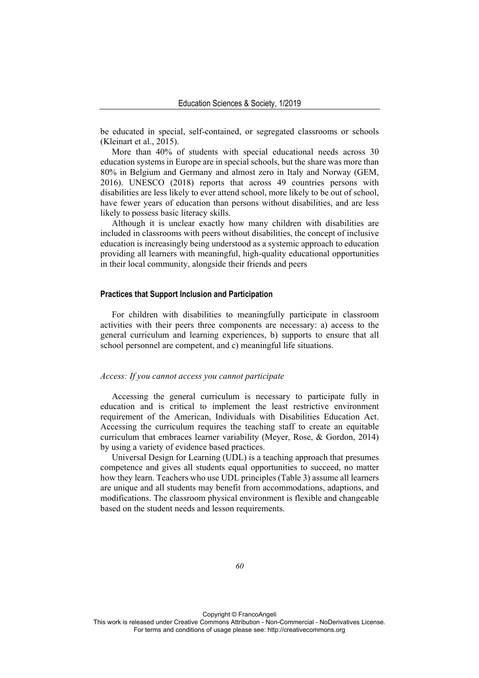be educated in special, self-contained, or segregated classrooms or schools (Kleinart et al., 2015).

More than 40% of students with special educational needs across 30 education systems in Europe are in special schools, but the share was more than 80% in Belgium and Germany and almost zero in Italy and Norway (GEM, 2016). UNESCO (2018) reports that across 49 countries persons with disabilities are less likely to ever attend school, more likely to be out of school, have fewer years of education than persons without disabilities, and are less likely to possess basic literacy skills.

Although it is unclear exactly how many children with disabilities are included in classrooms with peers without disabilities, the concept of inclusive education is increasingly being understood as a systemic approach to education providing all learners with meaningful, high-quality educational opportunities in their local community, alongside their friends and peers

#### **Practices that Support Inclusion and Participation**

For children with disabilities to meaningfully participate in classroom activities with their peers three components are necessary: a) access to the general curriculum and learning experiences, b) supports to ensure that all school personnel are competent, and c) meaningful life situations.

#### *Access: If you cannot access you cannot participate*

Accessing the general curriculum is necessary to participate fully in education and is critical to implement the least restrictive environment requirement of the American, Individuals with Disabilities Education Act. Accessing the curriculum requires the teaching staff to create an equitable curriculum that embraces learner variability (Meyer, Rose, & Gordon, 2014) by using a variety of evidence based practices.

Universal Design for Learning (UDL) is a teaching approach that presumes competence and gives all students equal opportunities to succeed, no matter how they learn. Teachers who use UDL principles (Table 3) assume all learners are unique and all students may benefit from accommodations, adaptions, and modifications. The classroom physical environment is flexible and changeable based on the student needs and lesson requirements.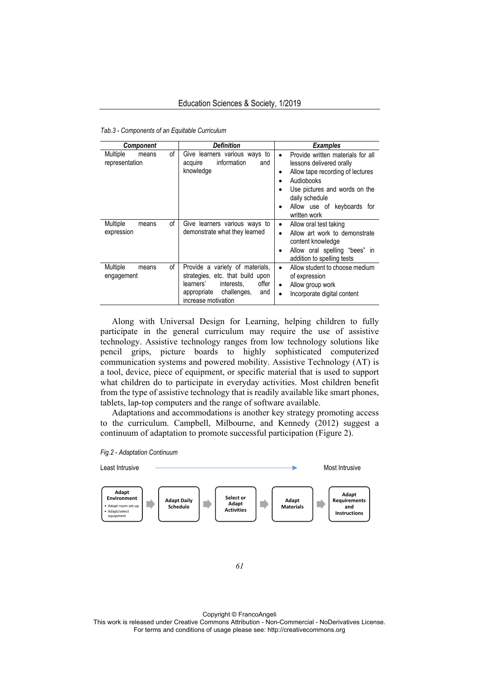*Tab.3 - Components of an Equitable Curriculum*

| <b>Component</b>                    |    | <b>Definition</b>                                                                                                                                                   | <b>Examples</b>                                                                                                                                                                                                                                      |  |
|-------------------------------------|----|---------------------------------------------------------------------------------------------------------------------------------------------------------------------|------------------------------------------------------------------------------------------------------------------------------------------------------------------------------------------------------------------------------------------------------|--|
| Multiple<br>means<br>representation | οf | Give learners various ways to<br>information<br>acquire<br>and<br>knowledge                                                                                         | Provide written materials for all<br>$\bullet$<br>lessons delivered orally<br>Allow tape recording of lectures<br>٠<br>Audiobooks<br>$\bullet$<br>Use pictures and words on the<br>daily schedule<br>Allow use of keyboards for<br>٠<br>written work |  |
| Multiple<br>means<br>expression     | οf | Give learners various ways to<br>demonstrate what they learned                                                                                                      | Allow oral test taking<br>٠<br>Allow art work to demonstrate<br>٠<br>content knowledge<br>Allow oral spelling "bees" in<br>٠<br>addition to spelling tests                                                                                           |  |
| Multiple<br>means<br>engagement     | οf | Provide a variety of materials,<br>strategies, etc. that build upon<br>offer<br>learners'<br>interests.<br>challenges,<br>and<br>appropriate<br>increase motivation | Allow student to choose medium<br>$\bullet$<br>of expression<br>Allow group work<br>$\bullet$<br>Incorporate digital content<br>$\bullet$                                                                                                            |  |

Along with Universal Design for Learning, helping children to fully participate in the general curriculum may require the use of assistive technology. Assistive technology ranges from low technology solutions like pencil grips, picture boards to highly sophisticated computerized communication systems and powered mobility. Assistive Technology (AT) is a tool, device, piece of equipment, or specific material that is used to support what children do to participate in everyday activities. Most children benefit from the type of assistive technology that is readily available like smart phones, tablets, lap-top computers and the range of software available.

Adaptations and accommodations is another key strategy promoting access to the curriculum. Campbell, Milbourne, and Kennedy (2012) suggest a continuum of adaptation to promote successful participation (Figure 2).





Copyright © FrancoAngeli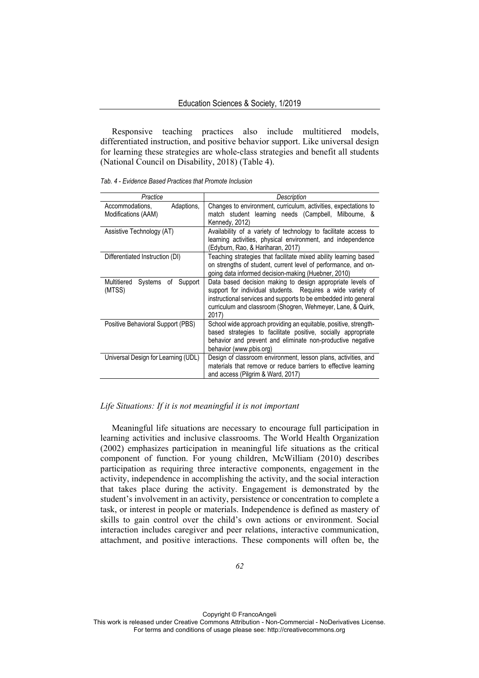Responsive teaching practices also include multitiered models, differentiated instruction, and positive behavior support. Like universal design for learning these strategies are whole-class strategies and benefit all students (National Council on Disability, 2018) (Table 4).

|  | Tab. 4 - Evidence Based Practices that Promote Inclusion |
|--|----------------------------------------------------------|
|--|----------------------------------------------------------|

| Practice                                             | Description                                                                                                                                                                                                                                                          |
|------------------------------------------------------|----------------------------------------------------------------------------------------------------------------------------------------------------------------------------------------------------------------------------------------------------------------------|
| Adaptions,<br>Accommodations,<br>Modifications (AAM) | Changes to environment, curriculum, activities, expectations to<br>match student learning needs (Campbell, Milbourne, &<br>Kennedy, 2012)                                                                                                                            |
| Assistive Technology (AT)                            | Availability of a variety of technology to facilitate access to<br>learning activities, physical environment, and independence<br>(Edyburn, Rao, & Hariharan, 2017)                                                                                                  |
| Differentiated Instruction (DI)                      | Teaching strategies that facilitate mixed ability learning based<br>on strengths of student, current level of performance, and on-<br>going data informed decision-making (Huebner, 2010)                                                                            |
| Multitiered<br>Support<br>Systems<br>of<br>(MTSS)    | Data based decision making to design appropriate levels of<br>support for individual students. Requires a wide variety of<br>instructional services and supports to be embedded into general<br>curriculum and classroom (Shogren, Wehmeyer, Lane, & Quirk,<br>2017) |
| Positive Behavioral Support (PBS)                    | School wide approach providing an equitable, positive, strength-<br>based strategies to facilitate positive, socially appropriate<br>behavior and prevent and eliminate non-productive negative<br>behavior (www.pbis.org)                                           |
| Universal Design for Learning (UDL)                  | Design of classroom environment, lesson plans, activities, and<br>materials that remove or reduce barriers to effective learning<br>and access (Pilgrim & Ward, 2017)                                                                                                |

#### *Life Situations: If it is not meaningful it is not important*

Meaningful life situations are necessary to encourage full participation in learning activities and inclusive classrooms. The World Health Organization (2002) emphasizes participation in meaningful life situations as the critical component of function. For young children, McWilliam (2010) describes participation as requiring three interactive components, engagement in the activity, independence in accomplishing the activity, and the social interaction that takes place during the activity. Engagement is demonstrated by the student's involvement in an activity, persistence or concentration to complete a task, or interest in people or materials. Independence is defined as mastery of skills to gain control over the child's own actions or environment. Social interaction includes caregiver and peer relations, interactive communication, attachment, and positive interactions. These components will often be, the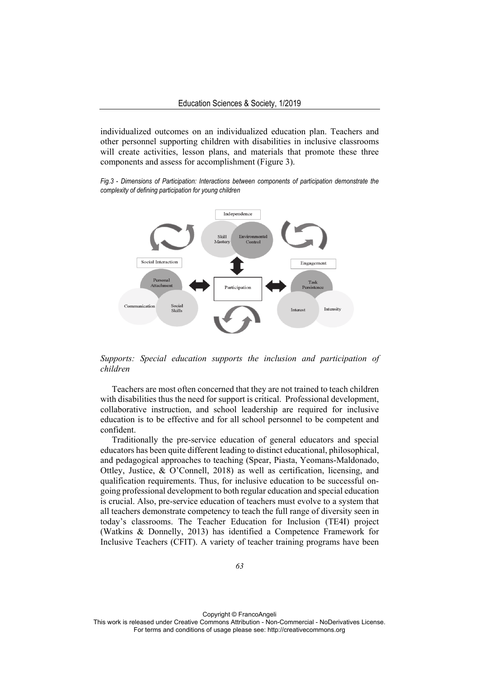individualized outcomes on an individualized education plan. Teachers and other personnel supporting children with disabilities in inclusive classrooms will create activities, lesson plans, and materials that promote these three components and assess for accomplishment (Figure 3).

*Fig.3* - *Dimensions of Participation: Interactions between components of participation demonstrate the complexity of defining participation for young children* 



*Supports: Special education supports the inclusion and participation of children* 

Teachers are most often concerned that they are not trained to teach children with disabilities thus the need for support is critical. Professional development, collaborative instruction, and school leadership are required for inclusive education is to be effective and for all school personnel to be competent and confident.

Traditionally the pre-service education of general educators and special educators has been quite different leading to distinct educational, philosophical, and pedagogical approaches to teaching (Spear, Piasta, Yeomans-Maldonado, Ottley, Justice, & O'Connell, 2018) as well as certification, licensing, and qualification requirements. Thus, for inclusive education to be successful ongoing professional development to both regular education and special education is crucial. Also, pre-service education of teachers must evolve to a system that all teachers demonstrate competency to teach the full range of diversity seen in today's classrooms. The Teacher Education for Inclusion (TE4I) project (Watkins & Donnelly, 2013) has identified a Competence Framework for Inclusive Teachers (CFIT). A variety of teacher training programs have been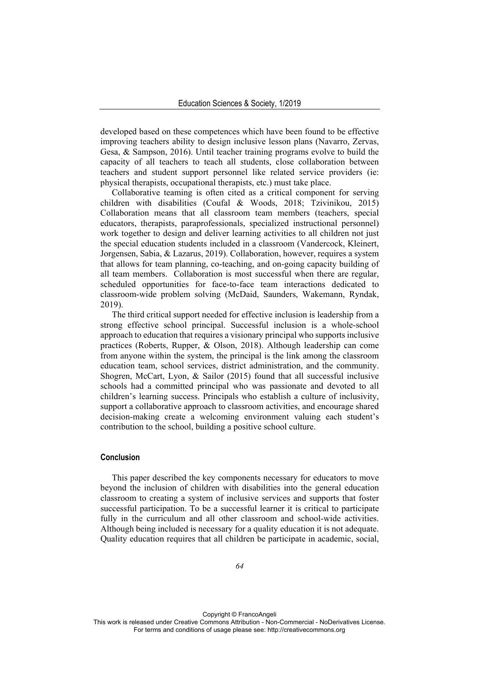developed based on these competences which have been found to be effective improving teachers ability to design inclusive lesson plans (Navarro, Zervas, Gesa, & Sampson, 2016). Until teacher training programs evolve to build the capacity of all teachers to teach all students, close collaboration between teachers and student support personnel like related service providers (ie: physical therapists, occupational therapists, etc.) must take place.

Collaborative teaming is often cited as a critical component for serving children with disabilities (Coufal & Woods, 2018; Tzivinikou, 2015) Collaboration means that all classroom team members (teachers, special educators, therapists, paraprofessionals, specialized instructional personnel) work together to design and deliver learning activities to all children not just the special education students included in a classroom (Vandercock, Kleinert, Jorgensen, Sabia, & Lazarus, 2019). Collaboration, however, requires a system that allows for team planning, co-teaching, and on-going capacity building of all team members. Collaboration is most successful when there are regular, scheduled opportunities for face-to-face team interactions dedicated to classroom-wide problem solving (McDaid, Saunders, Wakemann, Ryndak, 2019).

The third critical support needed for effective inclusion is leadership from a strong effective school principal. Successful inclusion is a whole-school approach to education that requires a visionary principal who supports inclusive practices (Roberts, Rupper, & Olson, 2018). Although leadership can come from anyone within the system, the principal is the link among the classroom education team, school services, district administration, and the community. Shogren, McCart, Lyon, & Sailor (2015) found that all successful inclusive schools had a committed principal who was passionate and devoted to all children's learning success. Principals who establish a culture of inclusivity, support a collaborative approach to classroom activities, and encourage shared decision-making create a welcoming environment valuing each student's contribution to the school, building a positive school culture.

# **Conclusion**

This paper described the key components necessary for educators to move beyond the inclusion of children with disabilities into the general education classroom to creating a system of inclusive services and supports that foster successful participation. To be a successful learner it is critical to participate fully in the curriculum and all other classroom and school-wide activities. Although being included is necessary for a quality education it is not adequate. Quality education requires that all children be participate in academic, social,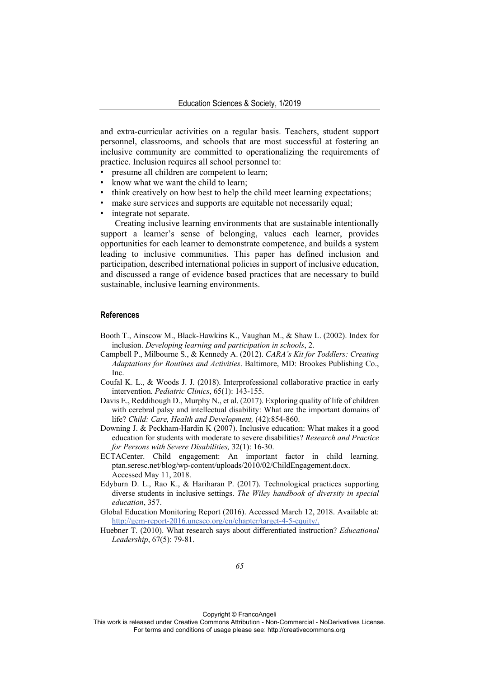and extra-curricular activities on a regular basis. Teachers, student support personnel, classrooms, and schools that are most successful at fostering an inclusive community are committed to operationalizing the requirements of practice. Inclusion requires all school personnel to:

- presume all children are competent to learn;
- know what we want the child to learn:
- think creatively on how best to help the child meet learning expectations;
- make sure services and supports are equitable not necessarily equal;
- integrate not separate.

Creating inclusive learning environments that are sustainable intentionally support a learner's sense of belonging, values each learner, provides opportunities for each learner to demonstrate competence, and builds a system leading to inclusive communities. This paper has defined inclusion and participation, described international policies in support of inclusive education, and discussed a range of evidence based practices that are necessary to build sustainable, inclusive learning environments.

# **References**

- Booth T., Ainscow M., Black-Hawkins K., Vaughan M., & Shaw L. (2002). Index for inclusion. *Developing learning and participation in schools*, 2.
- Campbell P., Milbourne S., & Kennedy A. (2012). *CARA's Kit for Toddlers: Creating Adaptations for Routines and Activities*. Baltimore, MD: Brookes Publishing Co., Inc.
- Coufal K. L., & Woods J. J. (2018). Interprofessional collaborative practice in early intervention. *Pediatric Clinics*, 65(1): 143-155.
- Davis E., Reddihough D., Murphy N., et al. (2017). Exploring quality of life of children with cerebral palsy and intellectual disability: What are the important domains of life? *Child: Care, Health and Development,* (42):854-860.
- Downing J. & Peckham-Hardin K (2007). Inclusive education: What makes it a good education for students with moderate to severe disabilities? *Research and Practice for Persons with Severe Disabilities,* 32(1): 16-30.
- ECTACenter. Child engagement: An important factor in child learning. ptan.seresc.net/blog/wp-content/uploads/2010/02/ChildEngagement.docx. Accessed May 11, 2018.
- Edyburn D. L., Rao K., & Hariharan P. (2017). Technological practices supporting diverse students in inclusive settings. *The Wiley handbook of diversity in special education*, 357.
- Global Education Monitoring Report (2016). Accessed March 12, 2018. Available at: http://gem-report-2016.unesco.org/en/chapter/target-4-5-equity/.
- Huebner T. (2010). What research says about differentiated instruction? *Educational Leadership*, 67(5): 79-81.

Copyright © FrancoAngeli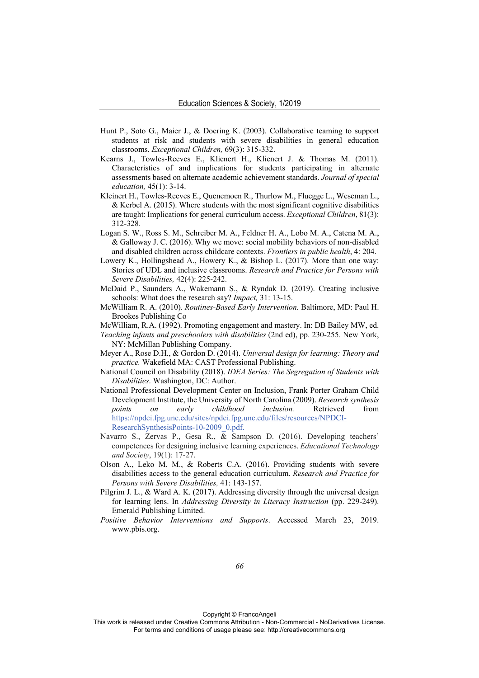- Hunt P., Soto G., Maier J., & Doering K. (2003). Collaborative teaming to support students at risk and students with severe disabilities in general education classrooms. *Exceptional Children,* 69(3): 315-332.
- Kearns J., Towles-Reeves E., Klienert H., Klienert J. & Thomas M. (2011). Characteristics of and implications for students participating in alternate assessments based on alternate academic achievement standards. *Journal of special education,* 45(1): 3-14.
- Kleinert H., Towles-Reeves E., Quenemoen R., Thurlow M., Fluegge L., Weseman L., & Kerbel A. (2015). Where students with the most significant cognitive disabilities are taught: Implications for general curriculum access. *Exceptional Children*, 81(3): 312-328.
- Logan S. W., Ross S. M., Schreiber M. A., Feldner H. A., Lobo M. A., Catena M. A., & Galloway J. C. (2016). Why we move: social mobility behaviors of non-disabled and disabled children across childcare contexts. *Frontiers in public health*, 4: 204.
- Lowery K., Hollingshead A., Howery K., & Bishop L. (2017). More than one way: Stories of UDL and inclusive classrooms. *Research and Practice for Persons with Severe Disabilities,* 42(4): 225-242.
- McDaid P., Saunders A., Wakemann S., & Ryndak D. (2019). Creating inclusive schools: What does the research say? *Impact,* 31: 13-15.
- McWilliam R. A. (2010). *Routines-Based Early Intervention.* Baltimore, MD: Paul H. Brookes Publishing Co
- McWilliam, R.A. (1992). Promoting engagement and mastery. In: DB Bailey MW, ed.
- *Teaching infants and preschoolers with disabilities* (2nd ed), pp. 230-255. New York, NY: McMillan Publishing Company.
- Meyer A., Rose D.H., & Gordon D. (2014). *Universal design for learning: Theory and practice.* Wakefield MA: CAST Professional Publishing.
- National Council on Disability (2018). *IDEA Series: The Segregation of Students with Disabilities*. Washington, DC: Author.
- National Professional Development Center on Inclusion, Frank Porter Graham Child Development Institute, the University of North Carolina (2009). *Research synthesis points on early childhood inclusion.* Retrieved from https://npdci.fpg.unc.edu/sites/npdci.fpg.unc.edu/files/resources/NPDCI-ResearchSynthesisPoints-10-2009\_0.pdf.
- Navarro S., Zervas P., Gesa R., & Sampson D. (2016). Developing teachers' competences for designing inclusive learning experiences. *Educational Technology and Society*, 19(1): 17-27.
- Olson A., Leko M. M., & Roberts C.A. (2016). Providing students with severe disabilities access to the general education curriculum. *Research and Practice for Persons with Severe Disabilities,* 41: 143-157.
- Pilgrim J. L., & Ward A. K. (2017). Addressing diversity through the universal design for learning lens. In *Addressing Diversity in Literacy Instruction* (pp. 229-249). Emerald Publishing Limited.
- *Positive Behavior Interventions and Supports*. Accessed March 23, 2019. www.pbis.org.

Copyright © FrancoAngeli